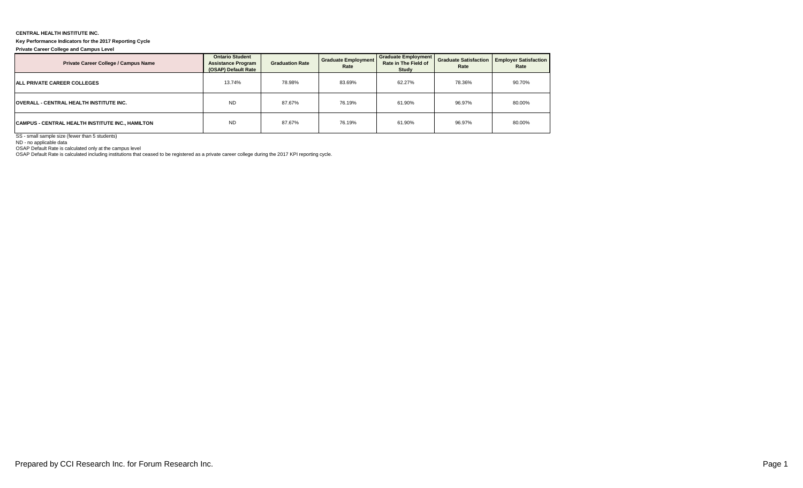## **CENTRAL HEALTH INSTITUTE INC.**

## **Key Performance Indicators for the 2017 Reporting Cycle**

**Private Career College and Campus Level**

| Private Career College / Campus Name             | <b>Ontario Student</b><br><b>Assistance Program</b><br>(OSAP) Default Rate | <b>Graduation Rate</b> | <b>Graduate Employment</b><br>Rate | <b>Graduate Employment</b><br>Rate in The Field of<br>Study | Rate   | <b>Graduate Satisfaction   Employer Satisfaction  </b><br>Rate |  |
|--------------------------------------------------|----------------------------------------------------------------------------|------------------------|------------------------------------|-------------------------------------------------------------|--------|----------------------------------------------------------------|--|
| <b>ALL PRIVATE CAREER COLLEGES</b>               | 13.74%                                                                     | 78.98%                 | 83.69%                             | 62.27%                                                      | 78.36% | 90.70%                                                         |  |
| <b>OVERALL - CENTRAL HEALTH INSTITUTE INC.</b>   | <b>ND</b>                                                                  | 87.67%                 | 76.19%                             | 61.90%                                                      | 96.97% | 80.00%                                                         |  |
| CAMPUS - CENTRAL HEALTH INSTITUTE INC., HAMILTON | <b>ND</b>                                                                  | 87.67%                 | 76.19%                             | 61.90%                                                      | 96.97% | 80.00%                                                         |  |

SS - small sample size (fewer than 5 students)

ND - no applicable data

OSAP Default Rate is calculated only at the campus level OSAP Default Rate is calculated including institutions that ceased to be registered as a private career college during the 2017 KPI reporting cycle.